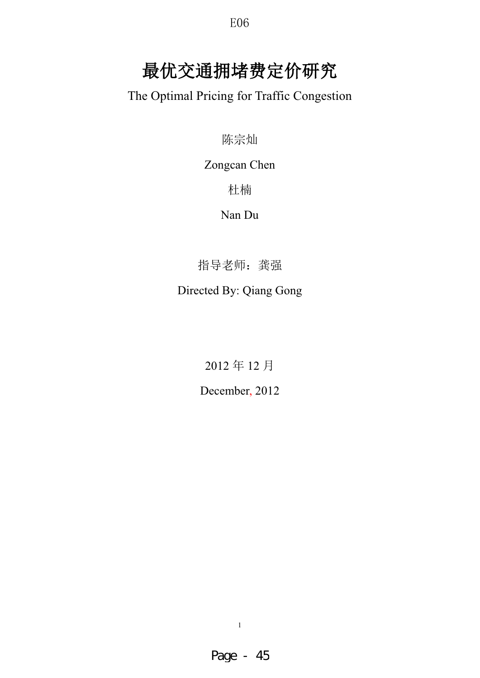# 最优交通拥堵费定价研究

The Optimal Pricing for Traffic Congestion

陈宗灿

Zongcan Chen

## 杜楠

## Nan Du

指导老师: 龚强

## Directed By: Qiang Gong

2012年12月

December, 2012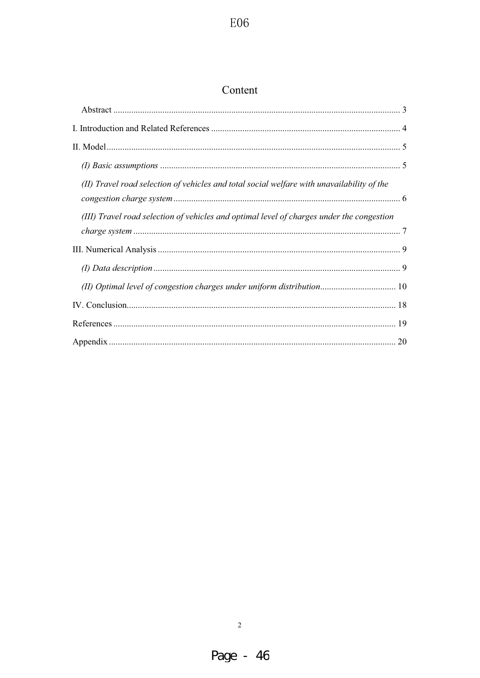## Content

| (II) Travel road selection of vehicles and total social welfare with unavailability of the |  |
|--------------------------------------------------------------------------------------------|--|
| (III) Travel road selection of vehicles and optimal level of charges under the congestion  |  |
|                                                                                            |  |
|                                                                                            |  |
|                                                                                            |  |
| (II) Optimal level of congestion charges under uniform distribution 10                     |  |
|                                                                                            |  |
|                                                                                            |  |
|                                                                                            |  |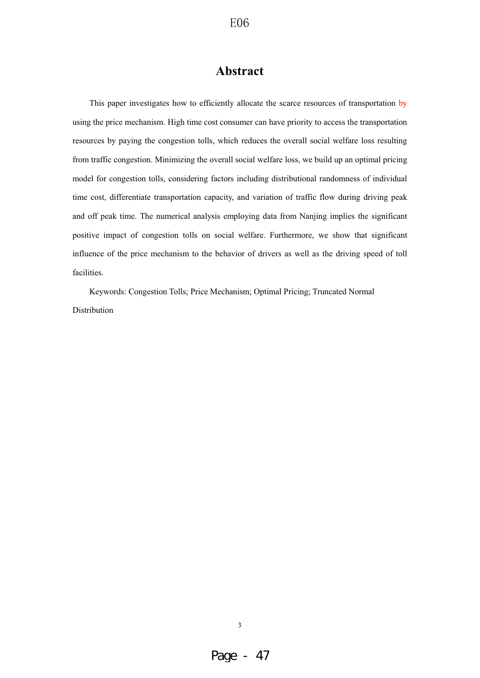## **Abstract**

This paper investigates how to efficiently allocate the scarce resources of transportation by using the price mechanism. High time cost consumer can have priority to access the transportation resources by paying the congestion tolls, which reduces the overall social welfare loss resulting from traffic congestion. Minimizing the overall social welfare loss, we build up an optimal pricing model for congestion tolls, considering factors including distributional randomness of individual time cost, differentiate transportation capacity, and variation of traffic flow during driving peak and off peak time. The numerical analysis employing data from Nanjing implies the significant positive impact of congestion tolls on social welfare. Furthermore, we show that significant influence of the price mechanism to the behavior of drivers as well as the driving speed of toll facilities.

Keywords: Congestion Tolls; Price Mechanism; Optimal Pricing; Truncated Normal Distribution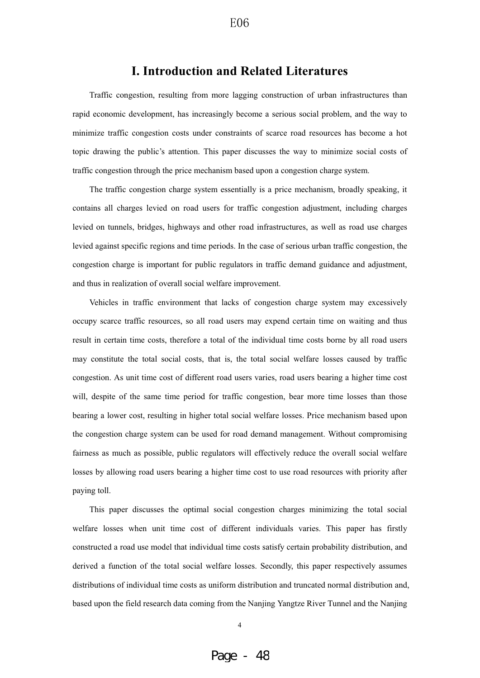### **I. Introduction and Related Literatures**

Traffic congestion, resulting from more lagging construction of urban infrastructures than rapid economic development, has increasingly become a serious social problem, and the way to minimize traffic congestion costs under constraints of scarce road resources has become a hot topic drawing the public's attention. This paper discusses the way to minimize social costs of traffic congestion through the price mechanism based upon a congestion charge system.

The traffic congestion charge system essentially is a price mechanism, broadly speaking, it contains all charges levied on road users for traffic congestion adjustment, including charges levied on tunnels, bridges, highways and other road infrastructures, as well as road use charges levied against specific regions and time periods. In the case of serious urban traffic congestion, the congestion charge is important for public regulators in traffic demand guidance and adjustment, and thus in realization of overall social welfare improvement.

Vehicles in traffic environment that lacks of congestion charge system may excessively occupy scarce traffic resources, so all road users may expend certain time on waiting and thus result in certain time costs, therefore a total of the individual time costs borne by all road users may constitute the total social costs, that is, the total social welfare losses caused by traffic congestion. As unit time cost of different road users varies, road users bearing a higher time cost will, despite of the same time period for traffic congestion, bear more time losses than those bearing a lower cost, resulting in higher total social welfare losses. Price mechanism based upon the congestion charge system can be used for road demand management. Without compromising fairness as much as possible, public regulators will effectively reduce the overall social welfare losses by allowing road users bearing a higher time cost to use road resources with priority after paying toll.

This paper discusses the optimal social congestion charges minimizing the total social welfare losses when unit time cost of different individuals varies. This paper has firstly constructed a road use model that individual time costs satisfy certain probability distribution, and derived a function of the total social welfare losses. Secondly, this paper respectively assumes distributions of individual time costs as uniform distribution and truncated normal distribution and, based upon the field research data coming from the Nanjing Yangtze River Tunnel and the Nanjing

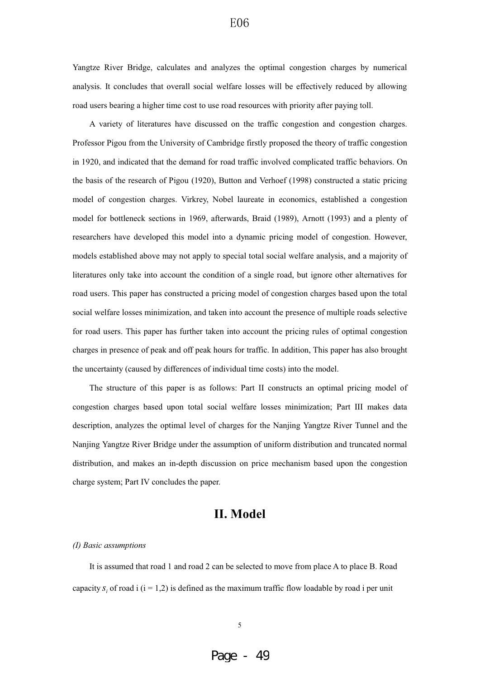Yangtze River Bridge, calculates and analyzes the optimal congestion charges by numerical analysis. It concludes that overall social welfare losses will be effectively reduced by allowing road users bearing a higher time cost to use road resources with priority after paying toll.

A variety of literatures have discussed on the traffic congestion and congestion charges. Professor Pigou from the University of Cambridge firstly proposed the theory of traffic congestion in 1920, and indicated that the demand for road traffic involved complicated traffic behaviors. On the basis of the research of Pigou (1920), Button and Verhoef (1998) constructed a static pricing model of congestion charges. Virkrey, Nobel laureate in economics, established a congestion model for bottleneck sections in 1969, afterwards, Braid (1989), Arnott (1993) and a plenty of researchers have developed this model into a dynamic pricing model of congestion. However, models established above may not apply to special total social welfare analysis, and a majority of literatures only take into account the condition of a single road, but ignore other alternatives for road users. This paper has constructed a pricing model of congestion charges based upon the total social welfare losses minimization, and taken into account the presence of multiple roads selective for road users. This paper has further taken into account the pricing rules of optimal congestion charges in presence of peak and off peak hours for traffic. In addition, This paper has also brought the uncertainty (caused by differences of individual time costs) into the model.

The structure of this paper is as follows: Part II constructs an optimal pricing model of congestion charges based upon total social welfare losses minimization; Part III makes data description, analyzes the optimal level of charges for the Nanjing Yangtze River Tunnel and the Nanjing Yangtze River Bridge under the assumption of uniform distribution and truncated normal distribution, and makes an in-depth discussion on price mechanism based upon the congestion charge system; Part IV concludes the paper.

## **II. Model**

#### *(I) Basic assumptions*

It is assumed that road 1 and road 2 can be selected to move from place A to place B. Road capacity  $s_i$  of road i  $(i = 1,2)$  is defined as the maximum traffic flow loadable by road i per unit

#### 5

## Page - 49

### E06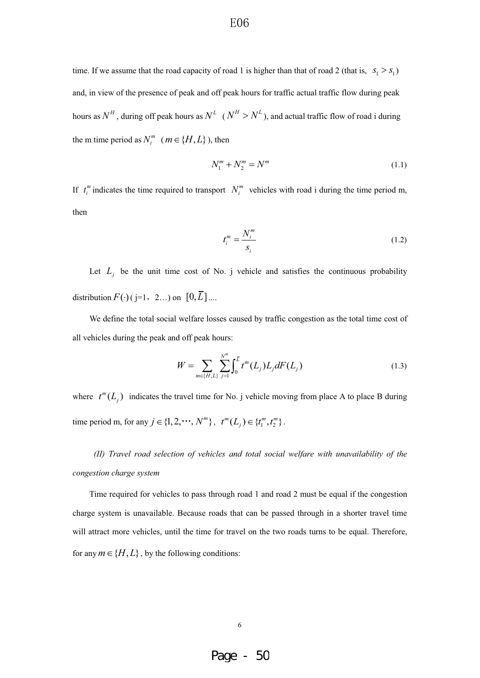time. If we assume that the road capacity of road 1 is higher than that of road 2 (that is,  $s_1 > s_1$ ) and, in view of the presence of peak and off peak hours for traffic actual traffic flow during peak hours as  $N^H$ , during off peak hours as  $N^L$  ( $N^H > N^L$ ), and actual traffic flow of road i during the m time period as  $N_i^m$  ( $m \in \{H, L\}$ ), then

$$
N_1^m + N_2^m = N^m \tag{1.1}
$$

If  $t_i^m$  indicates the time required to transport  $N_i^m$  vehicles with road i during the time period m, then

$$
t_i^m = \frac{N_i^m}{s_i} \tag{1.2}
$$

Let  $L_i$  be the unit time cost of No. j vehicle and satisfies the continuous probability distribution  $F(\cdot)$  ( j=1, 2...) on  $[0, \overline{L}]$  ....

We define the total social welfare losses caused by traffic congestion as the total time cost of all vehicles during the peak and off peak hours:

$$
W = \sum_{m \in \{H, L\}} \sum_{j=1}^{N^m} \int_0^{\bar{L}} t^m(L_j) L_j dF(L_j)
$$
 (1.3)

where  $t^m(L_j)$  indicates the travel time for No. j vehicle moving from place A to place B during time period m, for any  $j \in \{1, 2, \dots, N^m\}$ ,  $t^m(L_j) \in \{t_1^m, t_2^m\}$ .

*(II) Travel road selection of vehicles and total social welfare with unavailability of the congestion charge system* 

Time required for vehicles to pass through road 1 and road 2 must be equal if the congestion charge system is unavailable. Because roads that can be passed through in a shorter travel time will attract more vehicles, until the time for travel on the two roads turns to be equal. Therefore, for any  $m \in \{H, L\}$ , by the following conditions: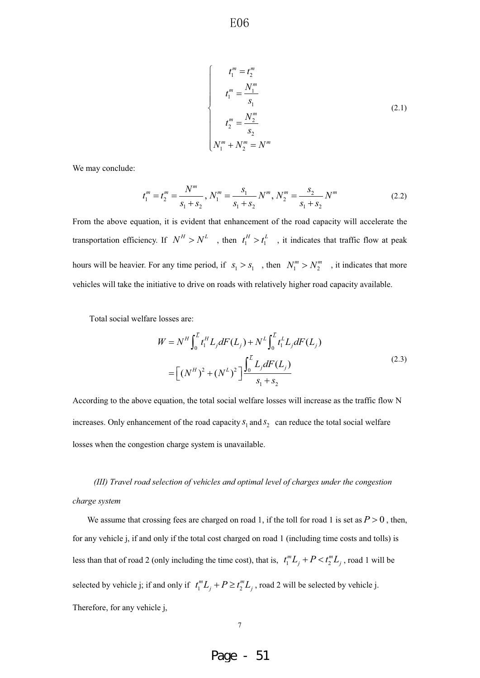$$
t_1^m = t_2^m
$$
  
\n
$$
t_1^m = \frac{N_1^m}{s_1}
$$
  
\n
$$
t_2^m = \frac{N_2^m}{s_2}
$$
  
\n
$$
N_1^m + N_2^m = N^m
$$
  
\n(2.1)

We may conclude:

$$
t_1^m = t_2^m = \frac{N^m}{s_1 + s_2}, N_1^m = \frac{s_1}{s_1 + s_2} N^m, N_2^m = \frac{s_2}{s_1 + s_2} N^m
$$
 (2.2)

From the above equation, it is evident that enhancement of the road capacity will accelerate the transportation efficiency. If  $N^H > N^L$ , then  $t_1^H > t_1^L$ , it indicates that traffic flow at peak hours will be heavier. For any time period, if  $s_1 > s_1$ , then  $N_1^m > N_2^m$ , it indicates that more vehicles will take the initiative to drive on roads with relatively higher road capacity available.

Total social welfare losses are:

$$
W = N^H \int_0^{\bar{L}} t_1^H L_j dF(L_j) + N^L \int_0^{\bar{L}} t_1^L L_j dF(L_j)
$$
  
= 
$$
\left[ (N^H)^2 + (N^L)^2 \right] \frac{\int_0^{\bar{L}} L_j dF(L_j)}{s_1 + s_2}
$$
 (2.3)

According to the above equation, the total social welfare losses will increase as the traffic flow N increases. Only enhancement of the road capacity  $S_1$  and  $S_2$  can reduce the total social welfare losses when the congestion charge system is unavailable.

 *(III) Travel road selection of vehicles and optimal level of charges under the congestion charge system*

We assume that crossing fees are charged on road 1, if the toll for road 1 is set as  $P > 0$ , then, for any vehicle j, if and only if the total cost charged on road 1 (including time costs and tolls) is less than that of road 2 (only including the time cost), that is,  $t_1^m L_j + P < t_2^m L_j$ , road 1 will be selected by vehicle j; if and only if  $t_1^m L_j + P \geq t_2^m L_j$ , road 2 will be selected by vehicle j. Therefore, for any vehicle j,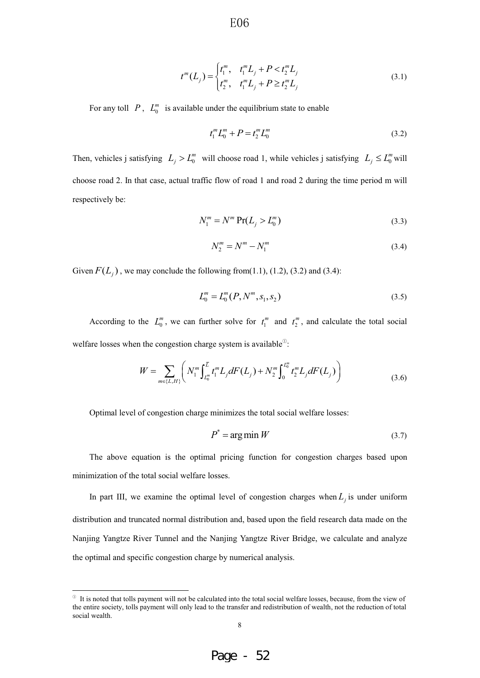$$
t^{m}(L_{j}) = \begin{cases} t_{1}^{m}, & t_{1}^{m}L_{j} + P < t_{2}^{m}L_{j} \\ t_{2}^{m}, & t_{1}^{m}L_{j} + P \geq t_{2}^{m}L_{j} \end{cases}
$$
(3.1)

For any toll  $P$ ,  $L_0^m$  is available under the equilibrium state to enable

$$
t_1^m L_0^m + P = t_2^m L_0^m \tag{3.2}
$$

Then, vehicles j satisfying  $L_j > L_0^m$  will choose road 1, while vehicles j satisfying  $L_j \le L_0^m$  will choose road 2. In that case, actual traffic flow of road 1 and road 2 during the time period m will respectively be:

$$
N_1^m = N^m \Pr(L_j > L_0^m)
$$
\n(3.3)

$$
N_2^m = N^m - N_1^m \tag{3.4}
$$

Given  $F(L_i)$ , we may conclude the following from(1.1), (1.2), (3.2) and (3.4):

$$
L_0^m = L_0^m(P, N^m, s_1, s_2)
$$
\n(3.5)

According to the  $L_0^m$ , we can further solve for  $t_1^m$  and  $t_2^m$ , and calculate the total social welfare losses when the congestion charge system is available $\mathbb{R}^3$ :

$$
W = \sum_{m \in \{L, H\}} \left( N_1^m \int_{L_0^m}^{\overline{L}} t_1^m L_j dF(L_j) + N_2^m \int_0^{L_0^m} t_2^m L_j dF(L_j) \right) \tag{3.6}
$$

Optimal level of congestion charge minimizes the total social welfare losses:

$$
P^* = \arg\min W \tag{3.7}
$$

The above equation is the optimal pricing function for congestion charges based upon minimization of the total social welfare losses.

In part III, we examine the optimal level of congestion charges when  $L_i$  is under uniform distribution and truncated normal distribution and, based upon the field research data made on the Nanjing Yangtze River Tunnel and the Nanjing Yangtze River Bridge, we calculate and analyze the optimal and specific congestion charge by numerical analysis.



 $\degree$  It is noted that tolls payment will not be calculated into the total social welfare losses, because, from the view of the entire society, tolls payment will only lead to the transfer and redistribution of wealth, not the reduction of total social wealth.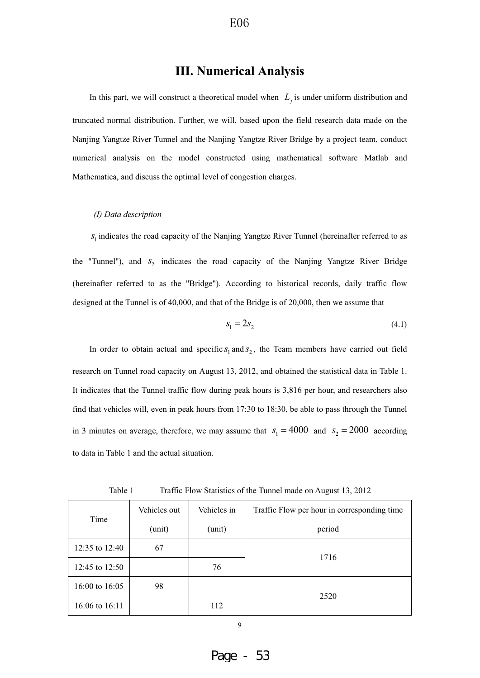## **III. Numerical Analysis**

In this part, we will construct a theoretical model when  $L_j$  is under uniform distribution and truncated normal distribution. Further, we will, based upon the field research data made on the Nanjing Yangtze River Tunnel and the Nanjing Yangtze River Bridge by a project team, conduct numerical analysis on the model constructed using mathematical software Matlab and Mathematica, and discuss the optimal level of congestion charges.

#### *(I) Data description*

<sup>1</sup>*s* indicates the road capacity of the Nanjing Yangtze River Tunnel (hereinafter referred to as the "Tunnel"), and  $s_2$  indicates the road capacity of the Nanjing Yangtze River Bridge (hereinafter referred to as the "Bridge"). According to historical records, daily traffic flow designed at the Tunnel is of 40,000, and that of the Bridge is of 20,000, then we assume that

$$
s_1 = 2s_2 \tag{4.1}
$$

In order to obtain actual and specific  $s_1$  and  $s_2$ , the Team members have carried out field research on Tunnel road capacity on August 13, 2012, and obtained the statistical data in Table 1. It indicates that the Tunnel traffic flow during peak hours is 3,816 per hour, and researchers also find that vehicles will, even in peak hours from 17:30 to 18:30, be able to pass through the Tunnel in 3 minutes on average, therefore, we may assume that  $s_1 = 4000$  and  $s_2 = 2000$  according to data in Table 1 and the actual situation.

Table 1 Traffic Flow Statistics of the Tunnel made on August 13, 2012

|                  | Vehicles out | Vehicles in | Traffic Flow per hour in corresponding time |  |  |
|------------------|--------------|-------------|---------------------------------------------|--|--|
| Time             | (unit)       | (unit)      | period                                      |  |  |
| 12:35 to 12:40   | 67           |             |                                             |  |  |
| 12:45 to 12:50   |              | 76          | 1716                                        |  |  |
| 16:00 to $16:05$ | 98           |             |                                             |  |  |
| 16:06 to 16:11   |              | 112         | 2520                                        |  |  |

9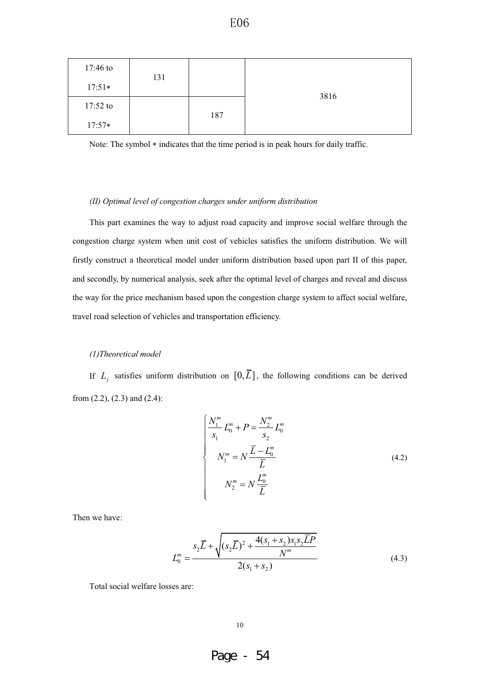| 17:46 to   | 131 |     |      |  |
|------------|-----|-----|------|--|
| $17:51*$   |     |     |      |  |
| $17:52$ to |     |     | 3816 |  |
| $17:57*$   |     | 187 |      |  |

Note: The symbol  $*$  indicates that the time period is in peak hours for daily traffic.

#### *(II) Optimal level of congestion charges under uniform distribution*

This part examines the way to adjust road capacity and improve social welfare through the congestion charge system when unit cost of vehicles satisfies the uniform distribution. We will firstly construct a theoretical model under uniform distribution based upon part II of this paper, and secondly, by numerical analysis, seek after the optimal level of charges and reveal and discuss the way for the price mechanism based upon the congestion charge system to affect social welfare, travel road selection of vehicles and transportation efficiency.

#### *(1)Theoretical model*

If  $L_j$  satisfies uniform distribution on  $[0, \overline{L}]$ , the following conditions can be derived from (2.2), (2.3) and (2.4):

$$
\begin{cases}\n\frac{N_1^m}{s_1} L_0^m + P = \frac{N_2^m}{s_2} L_0^m \\
N_1^m = N \frac{\overline{L} - L_0^m}{\overline{L}} \\
N_2^m = N \frac{L_0^m}{\overline{L}}\n\end{cases}
$$
\n(4.2)

Then we have:

$$
L_0^m = \frac{s_2 \overline{L} + \sqrt{(s_2 \overline{L})^2 + \frac{4(s_1 + s_2)s_1 s_2 \overline{L}P}{N^m}}}{2(s_1 + s_2)}
$$
(4.3)

Total social welfare losses are: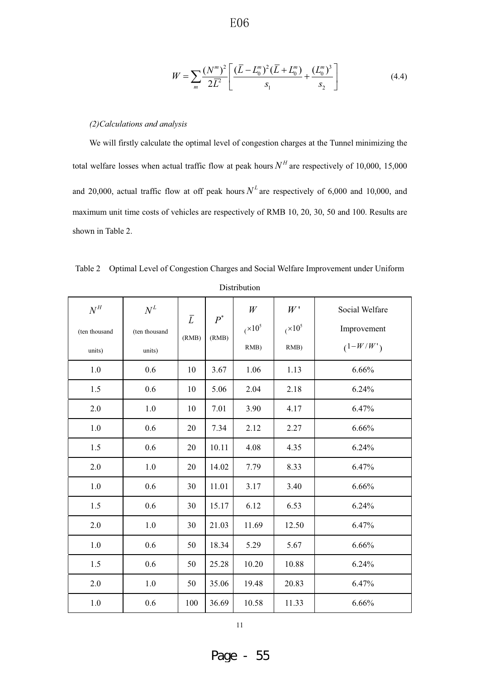(

$$
W = \sum_{m} \frac{(N^{m})^{2}}{2\overline{L}^{2}} \left[ \frac{(\overline{L} - L_{0}^{m})^{2}(\overline{L} + L_{0}^{m})}{s_{1}} + \frac{(L_{0}^{m})^{3}}{s_{2}} \right]
$$
(4.4)

#### *(2)Calculations and analysis*

We will firstly calculate the optimal level of congestion charges at the Tunnel minimizing the total welfare losses when actual traffic flow at peak hours  $N<sup>H</sup>$  are respectively of 10,000, 15,000 and 20,000, actual traffic flow at off peak hours  $N<sup>L</sup>$  are respectively of 6,000 and 10,000, and maximum unit time costs of vehicles are respectively of RMB 10, 20, 30, 50 and 100. Results are shown in Table 2.

| $N^H$         | $N^L$         | $\bar{L}$ | $P^*$ | W         | W'        | Social Welfare |
|---------------|---------------|-----------|-------|-----------|-----------|----------------|
| (ten thousand | (ten thousand |           | (RMB) | $(x10^5)$ | $(x10^5)$ | Improvement    |
| units)        | units)        | (RMB)     |       | RMB)      | RMB)      | $(1-W/W')$     |
| 1.0           | 0.6           | 10        | 3.67  | 1.06      | 1.13      | 6.66%          |
| 1.5           | 0.6           | 10        | 5.06  | 2.04      | 2.18      | 6.24%          |
| 2.0           | 1.0           | 10        | 7.01  | 3.90      | 4.17      | 6.47%          |
| 1.0           | 0.6           | 20        | 7.34  | 2.12      | 2.27      | 6.66%          |
| 1.5           | 0.6           | 20        | 10.11 | 4.08      | 4.35      | 6.24%          |
| 2.0           | 1.0           | 20        | 14.02 | 7.79      | 8.33      | 6.47%          |
| $1.0\,$       | 0.6           | 30        | 11.01 | 3.17      | 3.40      | 6.66%          |
| 1.5           | 0.6           | 30        | 15.17 | 6.12      | 6.53      | 6.24%          |
| 2.0           | 1.0           | 30        | 21.03 | 11.69     | 12.50     | 6.47%          |
| $1.0\,$       | 0.6           | 50        | 18.34 | 5.29      | 5.67      | 6.66%          |
| 1.5           | 0.6           | 50        | 25.28 | 10.20     | 10.88     | 6.24%          |
| 2.0           | 1.0           | 50        | 35.06 | 19.48     | 20.83     | 6.47%          |
| 1.0           | 0.6           | 100       | 36.69 | 10.58     | 11.33     | 6.66%          |

Table 2 Optimal Level of Congestion Charges and Social Welfare Improvement under Uniform Distribution

11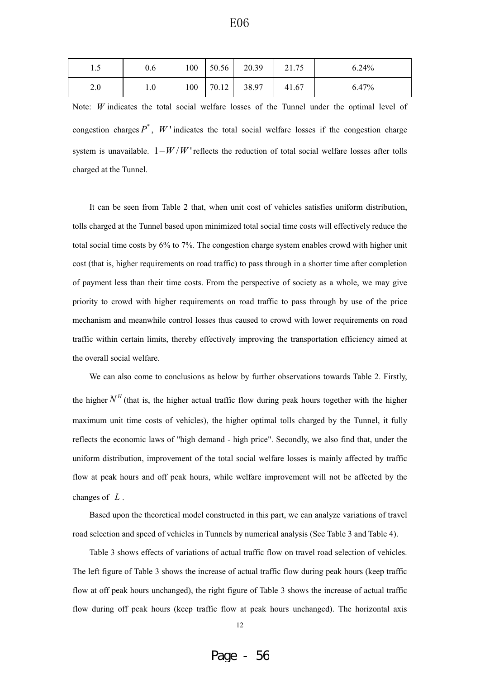|     | 0.6 | 100 | 50.56 | 20.39 | 21.75 | $6.24\%$ |
|-----|-----|-----|-------|-------|-------|----------|
| 2.0 | 1.0 | 100 | 70.12 | 38.97 | 41.67 | 6.47%    |

Note: *W* indicates the total social welfare losses of the Tunnel under the optimal level of congestion charges  $P^*$ ,  $W$  indicates the total social welfare losses if the congestion charge system is unavailable.  $1 - W/W$  reflects the reduction of total social welfare losses after tolls charged at the Tunnel.

It can be seen from Table 2 that, when unit cost of vehicles satisfies uniform distribution, tolls charged at the Tunnel based upon minimized total social time costs will effectively reduce the total social time costs by 6% to 7%. The congestion charge system enables crowd with higher unit cost (that is, higher requirements on road traffic) to pass through in a shorter time after completion of payment less than their time costs. From the perspective of society as a whole, we may give priority to crowd with higher requirements on road traffic to pass through by use of the price mechanism and meanwhile control losses thus caused to crowd with lower requirements on road traffic within certain limits, thereby effectively improving the transportation efficiency aimed at the overall social welfare.

We can also come to conclusions as below by further observations towards Table 2. Firstly, the higher  $N<sup>H</sup>$  (that is, the higher actual traffic flow during peak hours together with the higher maximum unit time costs of vehicles), the higher optimal tolls charged by the Tunnel, it fully reflects the economic laws of "high demand - high price". Secondly, we also find that, under the uniform distribution, improvement of the total social welfare losses is mainly affected by traffic flow at peak hours and off peak hours, while welfare improvement will not be affected by the changes of  $\overline{L}$ .

Based upon the theoretical model constructed in this part, we can analyze variations of travel road selection and speed of vehicles in Tunnels by numerical analysis (See Table 3 and Table 4).

Table 3 shows effects of variations of actual traffic flow on travel road selection of vehicles. The left figure of Table 3 shows the increase of actual traffic flow during peak hours (keep traffic flow at off peak hours unchanged), the right figure of Table 3 shows the increase of actual traffic flow during off peak hours (keep traffic flow at peak hours unchanged). The horizontal axis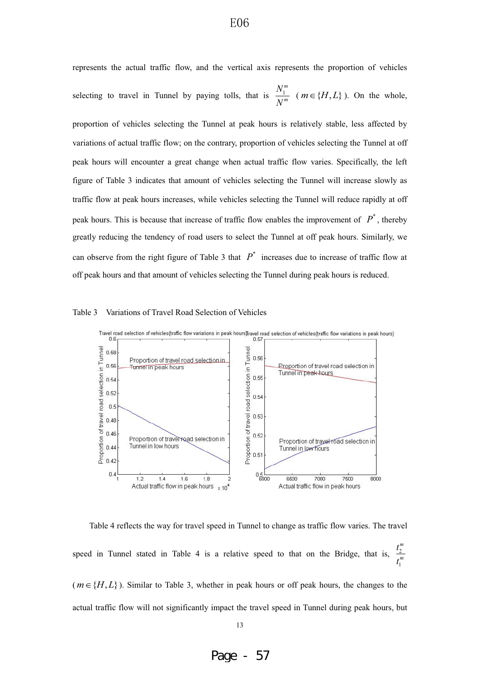represents the actual traffic flow, and the vertical axis represents the proportion of vehicles selecting to travel in Tunnel by paying tolls, that is  $\frac{1}{1}$ *m m*  $\frac{N_1^m}{N^m}$  (*m*  $\in$  {*H*, *L*} ). On the whole,

proportion of vehicles selecting the Tunnel at peak hours is relatively stable, less affected by variations of actual traffic flow; on the contrary, proportion of vehicles selecting the Tunnel at off peak hours will encounter a great change when actual traffic flow varies. Specifically, the left figure of Table 3 indicates that amount of vehicles selecting the Tunnel will increase slowly as traffic flow at peak hours increases, while vehicles selecting the Tunnel will reduce rapidly at off peak hours. This is because that increase of traffic flow enables the improvement of  $P^*$ , thereby greatly reducing the tendency of road users to select the Tunnel at off peak hours. Similarly, we can observe from the right figure of Table 3 that  $P^*$  increases due to increase of traffic flow at off peak hours and that amount of vehicles selecting the Tunnel during peak hours is reduced.

#### Table 3 Variations of Travel Road Selection of Vehicles



Table 4 reflects the way for travel speed in Tunnel to change as traffic flow varies. The travel speed in Tunnel stated in Table 4 is a relative speed to that on the Bridge, that is,  $\frac{2}{3}$ 1 *m m t t*  $(m \in \{H, L\})$ . Similar to Table 3, whether in peak hours or off peak hours, the changes to the

actual traffic flow will not significantly impact the travel speed in Tunnel during peak hours, but

Page - 57

## E06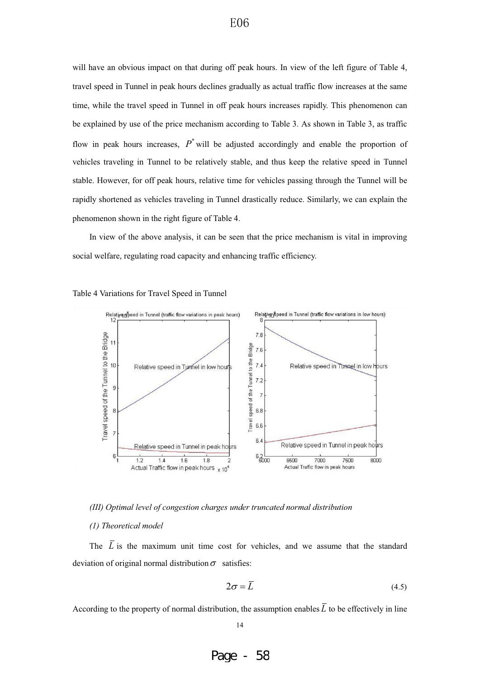will have an obvious impact on that during off peak hours. In view of the left figure of Table 4, travel speed in Tunnel in peak hours declines gradually as actual traffic flow increases at the same time, while the travel speed in Tunnel in off peak hours increases rapidly. This phenomenon can be explained by use of the price mechanism according to Table 3. As shown in Table 3, as traffic flow in peak hours increases,  $P^*$  will be adjusted accordingly and enable the proportion of vehicles traveling in Tunnel to be relatively stable, and thus keep the relative speed in Tunnel stable. However, for off peak hours, relative time for vehicles passing through the Tunnel will be rapidly shortened as vehicles traveling in Tunnel drastically reduce. Similarly, we can explain the phenomenon shown in the right figure of Table 4.

In view of the above analysis, it can be seen that the price mechanism is vital in improving social welfare, regulating road capacity and enhancing traffic efficiency.





*(III) Optimal level of congestion charges under truncated normal distribution*

#### *(1) Theoretical model*

The  $\overline{L}$  is the maximum unit time cost for vehicles, and we assume that the standard deviation of original normal distribution  $\sigma$  satisfies:

$$
2\sigma = \overline{L} \tag{4.5}
$$

According to the property of normal distribution, the assumption enables  $\overline{L}$  to be effectively in line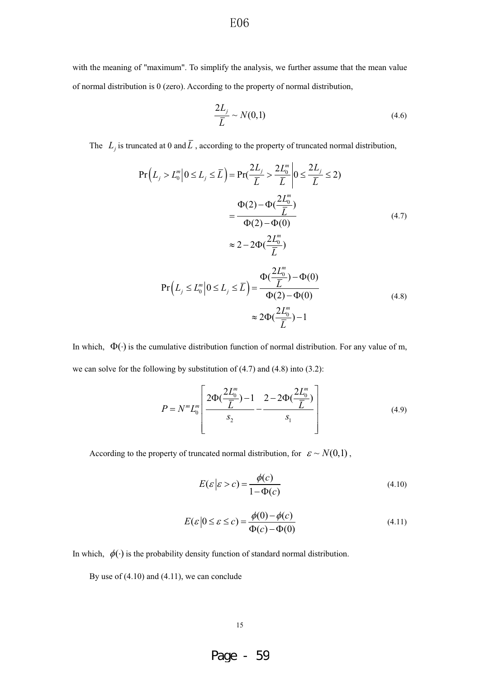with the meaning of "maximum". To simplify the analysis, we further assume that the mean value of normal distribution is 0 (zero). According to the property of normal distribution,

$$
\frac{2L_j}{\overline{L}} \sim N(0,1) \tag{4.6}
$$

The  $L_j$  is truncated at 0 and  $\overline{L}$ , according to the property of truncated normal distribution,

$$
\Pr\left(L_j > L_0^m \middle| 0 \le L_j \le \overline{L}\right) = \Pr\left(\frac{2L_j}{\overline{L}} > \frac{2L_0^m}{\overline{L}} \middle| 0 \le \frac{2L_j}{\overline{L}} \le 2\right)
$$
\n
$$
= \frac{\Phi(2) - \Phi\left(\frac{2L_0^m}{\overline{L}}\right)}{\Phi(2) - \Phi(0)}
$$
\n
$$
\approx 2 - 2\Phi\left(\frac{2L_0^m}{\overline{L}}\right) \tag{4.7}
$$

$$
\Pr\left(L_{j} \le L_{0}^{m} \middle| 0 \le L_{j} \le \overline{L}\right) = \frac{\Phi(\frac{2L_{0}^{m}}{\overline{L}}) - \Phi(0)}{\Phi(2) - \Phi(0)}
$$
\n
$$
\approx 2\Phi(\frac{2L_{0}^{m}}{\overline{L}}) - 1
$$
\n(4.8)

In which,  $\Phi(\cdot)$  is the cumulative distribution function of normal distribution. For any value of m, we can solve for the following by substitution of (4.7) and (4.8) into (3.2):

$$
P = N^{m} L_{0}^{m} \left[ \frac{2\Phi(\frac{2L_{0}^{m}}{\overline{L}}) - 1}{s_{2}} - \frac{2 - 2\Phi(\frac{2L_{0}^{m}}{\overline{L}})}{s_{1}} \right]
$$
(4.9)

According to the property of truncated normal distribution, for  $\varepsilon \sim N(0,1)$ ,

$$
E(\varepsilon \mid \varepsilon > c) = \frac{\phi(c)}{1 - \Phi(c)}\tag{4.10}
$$

$$
E(\varepsilon |0 \le \varepsilon \le c) = \frac{\phi(0) - \phi(c)}{\Phi(c) - \Phi(0)}
$$
(4.11)

In which,  $\phi(\cdot)$  is the probability density function of standard normal distribution.

By use of (4.10) and (4.11), we can conclude

15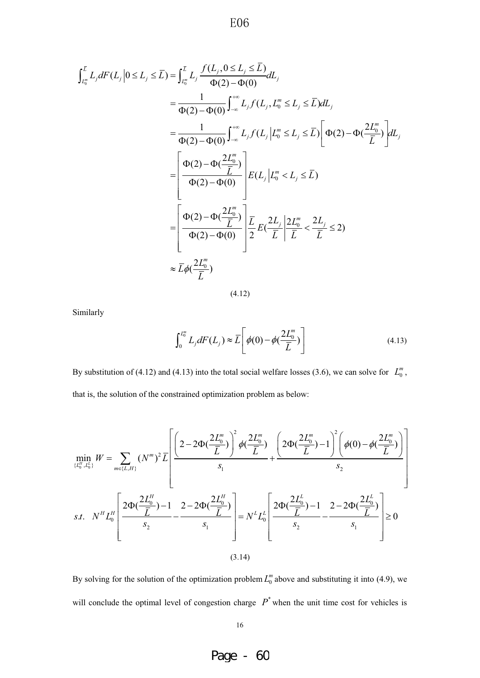$$
\int_{L_0^m}^{L} L_j dF(L_j | 0 \le L_j \le \bar{L}) = \int_{L_0^m}^{L} L_j \frac{f(L_j, 0 \le L_j \le \bar{L})}{\Phi(2) - \Phi(0)} dL_j
$$
\n
$$
= \frac{1}{\Phi(2) - \Phi(0)} \int_{-\infty}^{+\infty} L_j f(L_j, L_0^m \le L_j \le \bar{L}) dL_j
$$
\n
$$
= \frac{1}{\Phi(2) - \Phi(0)} \int_{-\infty}^{+\infty} L_j f(L_j | L_0^m \le L_j \le \bar{L}) \left[ \Phi(2) - \Phi(\frac{2L_0^m}{\bar{L}}) \right] dL_j
$$
\n
$$
= \left[ \frac{\Phi(2) - \Phi(\frac{2L_0^m}{\bar{L}})}{\Phi(2) - \Phi(0)} \right] E(L_j | L_0^m < L_j \le \bar{L})
$$
\n
$$
= \left[ \frac{\Phi(2) - \Phi(\frac{2L_0^m}{\bar{L}})}{\Phi(2) - \Phi(0)} \right] \frac{\bar{L}}{2} E(\frac{2L_j}{\bar{L}} | \frac{2L_0^m}{\bar{L}} < \frac{2L_j}{\bar{L}} \le 2)
$$
\n
$$
\approx \bar{L} \phi(\frac{2L_0^m}{\bar{L}})
$$

(4.12)

Similarly

$$
\int_0^{L_0^m} L_j dF(L_j) \approx \overline{L} \left[ \phi(0) - \phi(\frac{2L_0^m}{\overline{L}}) \right]
$$
\n(4.13)

By substitution of (4.12) and (4.13) into the total social welfare losses (3.6), we can solve for  $L_0^m$ , that is, the solution of the constrained optimization problem as below:

$$
\min_{\{L_0^H, L_0^L\}} W = \sum_{m \in \{L, H\}} (N^m)^2 \overline{L} \left[ \frac{\left(2 - 2\Phi(\frac{2L_0^m}{\overline{L}})\right)^2 \phi(\frac{2L_0^m}{\overline{L}}) + \frac{\left(2\Phi(\frac{2L_0^m}{\overline{L}}) - 1\right)^2 \left(\phi(0) - \phi(\frac{2L_0^m}{\overline{L}})\right)}{s_2}\right]
$$
\ns.t. 
$$
N^H L_0^H \left[ \frac{2\Phi(\frac{2L_0^H}{\overline{L}}) - 1}{s_2} - \frac{2 - 2\Phi(\frac{2L_0^H}{\overline{L}})}{s_1} \right] = N^L L_0^L \left[ \frac{2\Phi(\frac{2L_0^L}{\overline{L}}) - 1}{s_2} - \frac{2 - 2\Phi(\frac{2L_0^L}{\overline{L}})}{s_1} \right] \ge 0
$$
\n(3.14)

By solving for the solution of the optimization problem  $L_0^m$  above and substituting it into (4.9), we will conclude the optimal level of congestion charge  $P^*$  when the unit time cost for vehicles is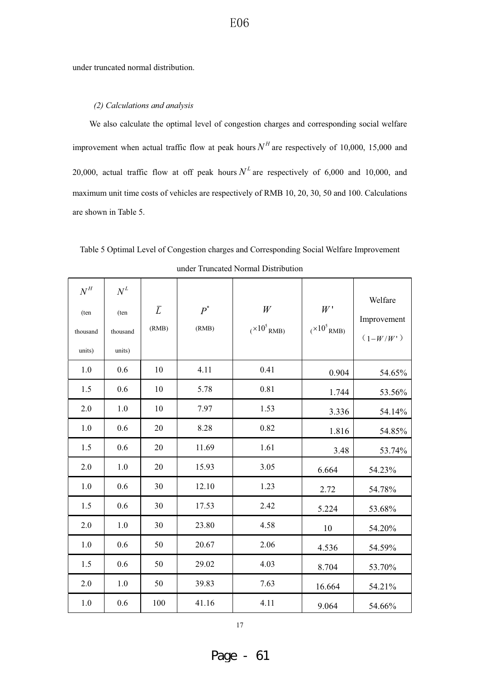under truncated normal distribution.

#### *(2) Calculations and analysis*

We also calculate the optimal level of congestion charges and corresponding social welfare improvement when actual traffic flow at peak hours  $N<sup>H</sup>$  are respectively of 10,000, 15,000 and 20,000, actual traffic flow at off peak hours  $N<sup>L</sup>$  are respectively of 6,000 and 10,000, and maximum unit time costs of vehicles are respectively of RMB 10, 20, 30, 50 and 100. Calculations are shown in Table 5.

Table 5 Optimal Level of Congestion charges and Corresponding Social Welfare Improvement under Truncated Normal Distribution

| $N^H$<br>(ten<br>thousand<br>units) | $N^L$<br>(ten<br>thousand<br>units) | $\overline{L}$<br>(RMB) | $P^*$<br>(RMB) | W<br>$(x10^5)$ RMB) | W'<br>$(x10^5)$ RMB) | Welfare<br>Improvement<br>$(1-W/W')$ |
|-------------------------------------|-------------------------------------|-------------------------|----------------|---------------------|----------------------|--------------------------------------|
| 1.0                                 | 0.6                                 | 10                      | 4.11           | 0.41                | 0.904                | 54.65%                               |
| 1.5                                 | 0.6                                 | 10                      | 5.78           | 0.81                | 1.744                | 53.56%                               |
| 2.0                                 | 1.0                                 | 10                      | 7.97           | 1.53                | 3.336                | 54.14%                               |
| 1.0                                 | 0.6                                 | 20                      | 8.28           | 0.82                | 1.816                | 54.85%                               |
| 1.5                                 | 0.6                                 | 20                      | 11.69          | 1.61                | 3.48                 | 53.74%                               |
| 2.0                                 | 1.0                                 | 20                      | 15.93          | 3.05                | 6.664                | 54.23%                               |
| 1.0                                 | 0.6                                 | 30                      | 12.10          | 1.23                | 2.72                 | 54.78%                               |
| 1.5                                 | 0.6                                 | 30                      | 17.53          | 2.42                | 5.224                | 53.68%                               |
| 2.0                                 | 1.0                                 | 30                      | 23.80          | 4.58                | 10                   | 54.20%                               |
| 1.0                                 | 0.6                                 | 50                      | 20.67          | 2.06                | 4.536                | 54.59%                               |
| 1.5                                 | 0.6                                 | 50                      | 29.02          | 4.03                | 8.704                | 53.70%                               |
| 2.0                                 | 1.0                                 | 50                      | 39.83          | 7.63                | 16.664               | 54.21%                               |
| 1.0                                 | 0.6                                 | 100                     | 41.16          | 4.11                | 9.064                | 54.66%                               |

17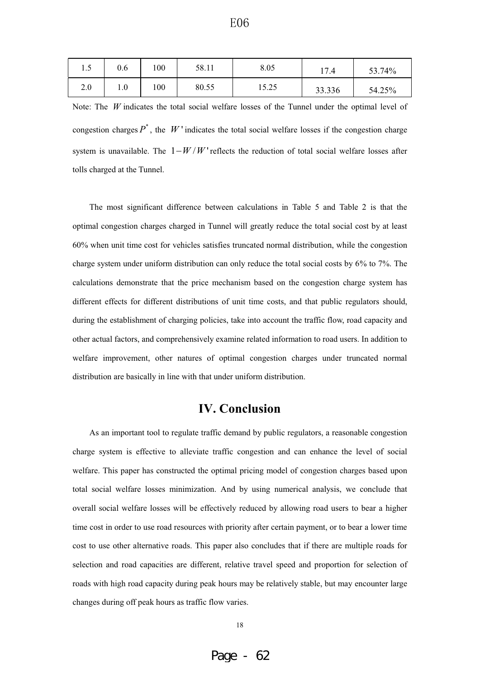| -<br>1.J | 0.6 | 100 | 58.11 | 8.05  | 17.4   | 53.74% |
|----------|-----|-----|-------|-------|--------|--------|
| 2.0      | ι.υ | 100 | 80.55 | 15.25 | 33.336 | 54.25% |

Note: The *W* indicates the total social welfare losses of the Tunnel under the optimal level of congestion charges  $P^*$ , the *W* 'indicates the total social welfare losses if the congestion charge system is unavailable. The  $1 - W/W$  reflects the reduction of total social welfare losses after tolls charged at the Tunnel.

The most significant difference between calculations in Table 5 and Table 2 is that the optimal congestion charges charged in Tunnel will greatly reduce the total social cost by at least 60% when unit time cost for vehicles satisfies truncated normal distribution, while the congestion charge system under uniform distribution can only reduce the total social costs by 6% to 7%. The calculations demonstrate that the price mechanism based on the congestion charge system has different effects for different distributions of unit time costs, and that public regulators should, during the establishment of charging policies, take into account the traffic flow, road capacity and other actual factors, and comprehensively examine related information to road users. In addition to welfare improvement, other natures of optimal congestion charges under truncated normal distribution are basically in line with that under uniform distribution.

## **IV. Conclusion**

As an important tool to regulate traffic demand by public regulators, a reasonable congestion charge system is effective to alleviate traffic congestion and can enhance the level of social welfare. This paper has constructed the optimal pricing model of congestion charges based upon total social welfare losses minimization. And by using numerical analysis, we conclude that overall social welfare losses will be effectively reduced by allowing road users to bear a higher time cost in order to use road resources with priority after certain payment, or to bear a lower time cost to use other alternative roads. This paper also concludes that if there are multiple roads for selection and road capacities are different, relative travel speed and proportion for selection of roads with high road capacity during peak hours may be relatively stable, but may encounter large changes during off peak hours as traffic flow varies.

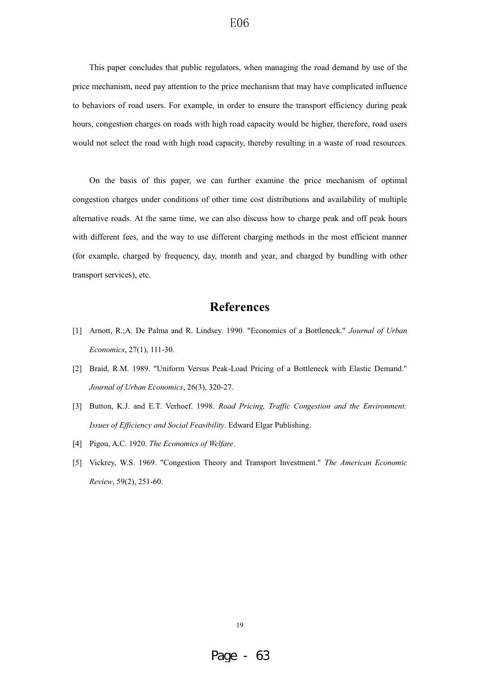This paper concludes that public regulators, when managing the road demand by use of the price mechanism, need pay attention to the price mechanism that may have complicated influence to behaviors of road users. For example, in order to ensure the transport efficiency during peak hours, congestion charges on roads with high road capacity would be higher, therefore, road users would not select the road with high road capacity, thereby resulting in a waste of road resources.

On the basis of this paper, we can further examine the price mechanism of optimal congestion charges under conditions of other time cost distributions and availability of multiple alternative roads. At the same time, we can also discuss how to charge peak and off peak hours with different fees, and the way to use different charging methods in the most efficient manner (for example, charged by frequency, day, month and year, and charged by bundling with other transport services), etc.

## **References**

- [1] Arnott, R.;A. De Palma and R. Lindsey. 1990. "Economics of a Bottleneck." *Journal of Urban Economics*, 27(1), 111-30.
- [2] Braid, R.M. 1989. "Uniform Versus Peak-Load Pricing of a Bottleneck with Elastic Demand." *Journal of Urban Economics*, 26(3), 320-27.
- [3] Button, K.J. and E.T. Verhoef. 1998. *Road Pricing, Traffic Congestion and the Environment: Issues of Efficiency and Social Feasibility*. Edward Elgar Publishing.
- [4] Pigou, A.C. 1920. *The Economics of Welfare*.
- [5] Vickrey, W.S. 1969. "Congestion Theory and Transport Investment." *The American Economic Review*, 59(2), 251-60.

19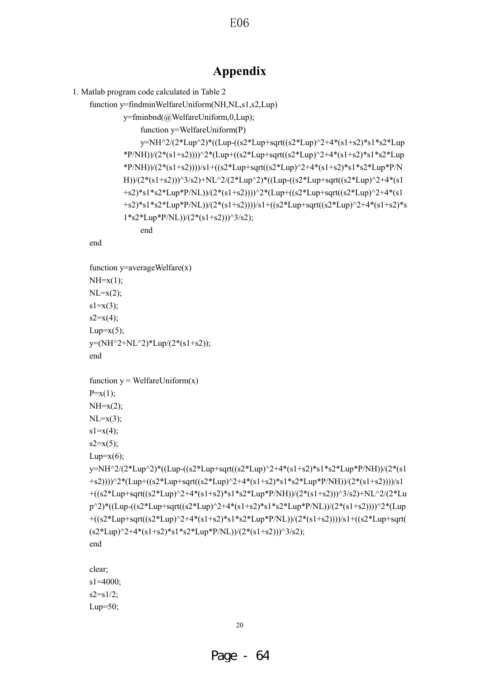## **Appendix**

1. Matlab program code calculated in Table 2

function y=findminWelfareUniform(NH,NL,s1,s2,Lup)

y=fminbnd(@WelfareUniform,0,Lup);

function y=WelfareUniform(P)

y=NH^2/(2\*Lup^2)\*((Lup-((s2\*Lup+sqrt((s2\*Lup)^2+4\*(s1+s2)\*s1\*s2\*Lup \*P/NH))/(2\*(s1+s2))))^2\*(Lup+((s2\*Lup+sqrt((s2\*Lup)^2+4\*(s1+s2)\*s1\*s2\*Lup \*P/NH))/(2\*(s1+s2))))/s1+((s2\*Lup+sqrt((s2\*Lup)^2+4\*(s1+s2)\*s1\*s2\*Lup\*P/N H))/(2\*(s1+s2)))^3/s2)+NL^2/(2\*Lup^2)\*((Lup-((s2\*Lup+sqrt((s2\*Lup)^2+4\*(s1 +s2)\*s1\*s2\*Lup\*P/NL))/(2\*(s1+s2))))^2\*(Lup+((s2\*Lup+sqrt((s2\*Lup)^2+4\*(s1 +s2)\*s1\*s2\*Lup\*P/NL))/(2\*(s1+s2))))/s1+((s2\*Lup+sqrt((s2\*Lup)^2+4\*(s1+s2)\*s  $1*s2*Lup*P/NL)/(2*(s1+s2))$  $(3/s2);$ 

end

```
function y=averageWelfare(x)NH=x(1);NL=x(2);s1=x(3);s2=x(4);Lup=x(5);
y=(NH^2+NL^2)*Lup/(2*(s1+s2));end
```
end

```
function y = WelfareUniform(x)P=x(1):
NH=x(2);
NL=x(3);s1=x(4);
```
 $s2=x(5);$ 

```
Lup=x(6);
```

```
y=NH^2/(2*Lup^2)*((Lup-((s2*Lup+sqrt((s2*Lup)^2+4*(s1+s2)*s1*s2*Lup*P/NH))/(2*(s1
+s2))))^2*(Lup+((s2*Lup+sqrt((s2*Lup)^2+4*(s1+s2)*s1*s2*Lup*P/NH))/(2*(s1+s2))))/s1
+((s2*Lup+sqrt((s2*Lup)^2+4*(s1+s2)*s1*s2*Lup*P/NH))/(2*(s1+s2)))^3/s2)+NL^2/(2*Lu
p^2)*((Lup-((s2*Lup+sqrt((s2*Lup)^2+4*(s1+s2)*s1*s2*Lup*P/NL))/(2*(s1+s2))))^2*(Lup
+((s2*Lup+sqrt((s2*Lup)^2+4*(s1+s2)*s1*s2*Lup*P/NL))/(2*(s1+s2))))/s1+((s2*Lup+sqrt(
(s2*Lup)^{2}+4*(s1+s2)*s1*s2*Lup*P/NL)/(2*(s1+s2))^{3}(s2);
```
end

clear; s1=4000;  $s2 = s1/2$ ; Lup= $50$ ;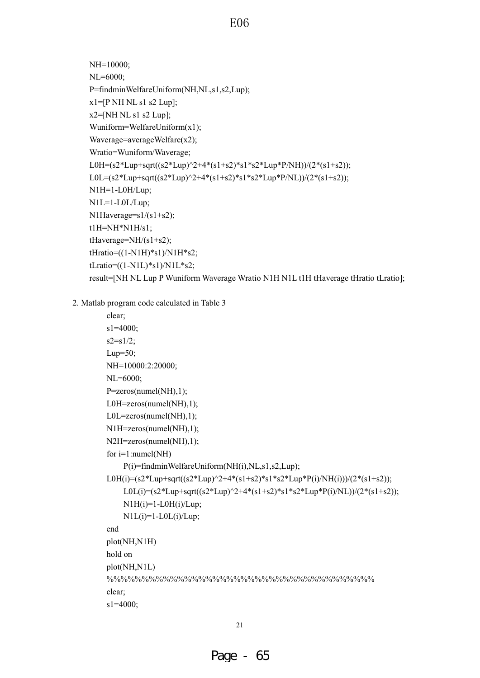```
NH=10000;
NL=6000;
P=findminWelfareUniform(NH,NL,s1,s2,Lup);
x1=[P NH NL s1 s2 Lup];x2=[NH NL s1 s2 Lup];
Wuniform=WelfareUniform(x1);
Waverage=averageWelfare(x2);
Wratio=Wuniform/Waverage;
L0H=(s2*Lup+sqrt((s2*Lup)^2+4*(s1+s2)*s1*s2*Lup*P/NH))/(2*(s1+s2));
L0L=(s2*Lup+sqrt((s2*Lup)^2+4*(s1+s2)*s1*s2*Lup*P/NL))/(2*(s1+s2));
N1H=1-L0H/Lup;
N1L=1-L0L/Lup;
N1Haverage=s1/(s1+s2);
t1H=NH*N1H/s1;
tHaverage=NH/(s1+s2);
tHratio=((1-N1H)*s1)/N1H*s2;
tLratio=((1-N1L)*s1)/N1L*s2;result=[NH NL Lup P Wuniform Waverage Wratio N1H N1L t1H tHaverage tHratio tLratio];
```
2. Matlab program code calculated in Table 3

```
clear;
s1=4000;
s2 = s1/2;
Lup=50;
NH=10000:2:20000;
NL=6000;
P=zeros(numel(NH),1);
L0H=zeros(numel(NH),1);
L0L=zeros(numel(NH),1);
N1H=zeros(numel(NH),1);
N2H=zeros(numel(NH),1);
for i=1:numel(NH)
    P(i)=findminWelfareUniform(NH(i),NL,s1,s2,Lup);
L0H(i)=(s2*Lup+sqrt((s2*Lup)^2+4*(s1+s2)*s1*s2*Lup*P(i)/NH(i)))/(2*(s1+s2));
    L0L(i)=(s2*Lup+sqrt((s2*Lup)^2+4*(s1+s2)*s1*s2*Lup*P(i)/NL))/(2*(s1+s2));
    NIH(i)=1-L0H(i)/Lup;N1L(i)=1-L0L(i)/Lup;end
plot(NH,N1H)
hold on
plot(NH,N1L)
%%%%%%%%%%%%%%%%%%%%%%%%%%%%%%%%%%%%%%
clear;
s1=4000;
```
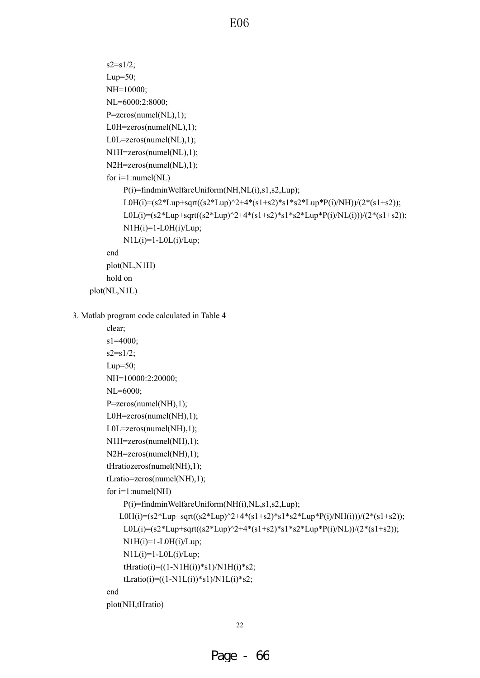```
s2 = s1/2;Lup=50;
        NH=10000;
        NL=6000:2:8000;
        P=zeros(numel(NL),1);
        L0H=zeros(numel(NL),1);
        L0L=zeros(numel(NL),1);
        N1H=zeros(numel(NL),1);
        N2H=zeros(numel(NL),1);
         for i=1:numel(NL)
             P(i)=findminWelfareUniform(NH,NL(i),s1,s2,Lup);
             L0H(i)=(s2*Lup+sqrt((s2*Lup)^2+4*(s1+s2)*s1*s2*Lup*P(i)/NH))/(2*(s1+s2));
             L0L(i)=(s2*Lup+sqrt((s2*Lup)^2+4*(s1+s2)*s1*s2*Lup*P(i)/NL(i)))/(2*(s1+s2));
             N1H(i)=1-L0H(i)/Lup;N1L(i)=1-L0L(i)/Lup;
        end
        plot(NL,N1H)
        hold on
    plot(NL,N1L)
3. Matlab program code calculated in Table 4
        clear;
        s1=4000;
        s2 = s1/2;Lup=50;
        NH=10000:2:20000;
        NL=6000;
        P=zeros(numel(NH),1);
        L0H=zeros(numel(NH),1);
        L0L=zeros(numel(NH),1);
        N1H=zeros(numel(NH),1);
```

```
N2H=zeros(numel(NH),1);
```

```
tHratiozeros(numel(NH),1);
```

```
tLratio=zeros(numel(NH),1);
```
for i=1:numel(NH)

```
P(i)=findminWelfareUniform(NH(i),NL,s1,s2,Lup);
```

```
L0H(i)=(s2*Lup+sqrt((s2*Lup)^2+4*(s1+s2)*s1*s2*Lup*P(i)/NH(i)))/(2*(s1+s2));
    L0L(i)=(s2*Lup+sqrt((s2*Lup)^2+4*(s1+s2)*s1*s2*Lup*P(i)/NL))/(2*(s1+s2));
    N1H(i)=1-L0H(i)/Lup;N1L(i)=1-L0L(i)/Lup;tH ratio(i)=( (1-N1H(i))*s1)/N1H(i)*s2;tLratio(i)=((1-N1L(i)*s1)/N1L(i)*s2;
end
```
plot(NH,tHratio)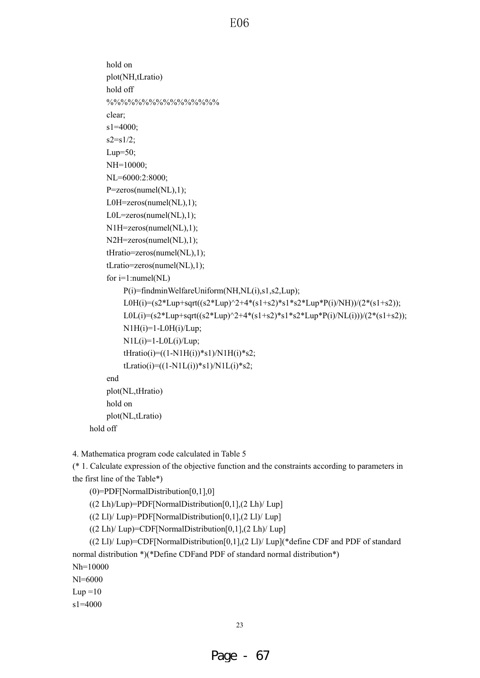```
hold on
plot(NH,tLratio)
hold off
%%%%%%%%%%%%%%%%
clear;
s1=4000;
s2 = s1/2;
Lup=50;
NH=10000;
NL=6000:2:8000;
P=zeros(numel(NL),1);
L0H=zeros(numel(NL),1);
L0L=zeros(numel(NL),1);
N1H=zeros(numel(NL),1);
N2H=zeros(numel(NL),1);
tHratio=zeros(numel(NL),1);
tLratio=zeros(numel(NL),1);
for i=1:numel(NL)
    P(i)=findminWelfareUniform(NH,NL(i),s1,s2,Lup);
    L0H(i)=(s2*Lup+sqrt((s2*Lup)^2+4*(s1+s2)*s1*s2*Lup*P(i)/NH))/(2*(s1+s2));
    L0L(i)=(s2*Lup+sqrt((s2*Lup)^2+4*(s1+s2)*s1*s2*Lup*P(i)/NL(i)))/(2*(s1+s2));
    N1H(i)=1-L0H(i)/Lup;
    N1L(i)=1-L0L(i)/Lup;tH ratio(i)=( (1-N1H(i))*s1)/N1H(i)*s2;tLratio(i)=((1-N1L(i)*s1)/N1L(i)*s2;
end
plot(NL,tHratio)
hold on
plot(NL,tLratio)
```
hold off

4. Mathematica program code calculated in Table 5

(\* 1. Calculate expression of the objective function and the constraints according to parameters in the first line of the Table\*)

(0)=PDF[NormalDistribution[0,1],0]

 $((2 Lh)/Lup)$ =PDF[NormalDistribution[0,1], $(2 Lh)/Lup$ ]

 $((2 Ll)/Lup)$ =PDF[NormalDistribution[0,1], $(2 Ll)/Lup$ ]

((2 Lh)/ Lup)=CDF[NormalDistribution[0,1],(2 Lh)/ Lup]

 $((2 LI)/Lup)$ =CDF[NormalDistribution[0,1], $(2 LI)/Lup$ ](\*define CDF and PDF of standard normal distribution \*)(\*Define CDFand PDF of standard normal distribution\*) Nh=10000 Nl=6000  $Lup =10$ s1=4000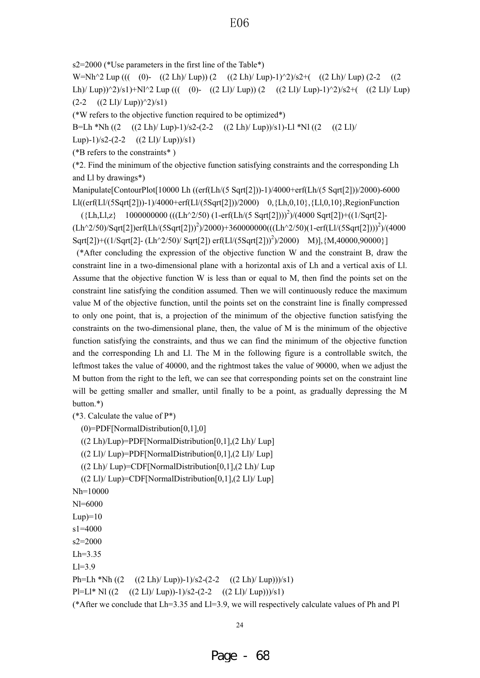s2=2000 (\*Use parameters in the first line of the Table\*)

W=Nh^2 Lup ((( (0)-  $((2 \text{ Lh})/\text{Lup}) (2 - ((2 \text{ Lh})/\text{Lup})-1)^{2}/s^2+((2 \text{ Lh})/\text{Lup}) (2-2)$  ((2) Lh)/ Lup))^2)/s1)+Nl^2 Lup ((( (0)- ((2 Ll)/ Lup)) (2 ((2 Ll)/ Lup)-1)^2)/s2+( ((2 Ll)/ Lup)  $(2-2$   $((2 \text{ Ll})/ \text{Lup}))^2/s1)$ 

(\*W refers to the objective function required to be optimized\*)

B=Lh \*Nh ((2 ((2 Lh)/ Lup)-1)/s2-(2-2 ((2 Lh)/ Lup))/s1)-Ll \*Nl ((2 ((2 Ll)/

Lup)-1)/s2-(2-2  $((2 \text{ Ll})/\text{Lup})/s1)$ 

(\*B refers to the constraints\* )

(\*2. Find the minimum of the objective function satisfying constraints and the corresponding Lh and Ll by drawings\*)

Manipulate[ContourPlot[10000 Lh ((erf(Lh/(5 Sqrt[2]))-1)/4000+erf(Lh/(5 Sqrt[2]))/2000)-6000 Ll((erf(Ll/(5Sqrt[2]))-1)/4000+erf(Ll/(5Sqrt[2]))/2000) 0,{Lh,0,10},{Ll,0,10},RegionFunction

({Lh,Ll,z} 1000000000 (((Lh^2/50) (1-erf(Lh/(5 Sqrt[2])))2 )/(4000 Sqrt[2])+((1/Sqrt[2]-  $(Lh^2/50)/Sqrt[2] )erf(Lh/(5Sqrt[2]))^2/2000)+360000000(((Lh^2/50)(1-erf(Ll/(5Sqrt[2]))^2)/(4000$ Sqrt[2])+((1/Sqrt[2]- (Lh^2/50)/ Sqrt[2]) erf(Ll/(5Sqrt[2]))<sup>2</sup>)/2000) M)],{M,40000,90000}]

(\*After concluding the expression of the objective function W and the constraint B, draw the constraint line in a two-dimensional plane with a horizontal axis of Lh and a vertical axis of Ll. Assume that the objective function W is less than or equal to M, then find the points set on the constraint line satisfying the condition assumed. Then we will continuously reduce the maximum value M of the objective function, until the points set on the constraint line is finally compressed to only one point, that is, a projection of the minimum of the objective function satisfying the constraints on the two-dimensional plane, then, the value of M is the minimum of the objective function satisfying the constraints, and thus we can find the minimum of the objective function and the corresponding Lh and Ll. The M in the following figure is a controllable switch, the leftmost takes the value of 40000, and the rightmost takes the value of 90000, when we adjust the M button from the right to the left, we can see that corresponding points set on the constraint line will be getting smaller and smaller, until finally to be a point, as gradually depressing the M button.\*)

(\*3. Calculate the value of  $P^*$ )

(0)=PDF[NormalDistribution[0,1],0]

((2 Lh)/Lup)=PDF[NormalDistribution[0,1],(2 Lh)/ Lup]

 $((2 Ll)/Lup)$ =PDF[NormalDistribution[0,1], $(2 Ll)/Lup$ ]

 $((2 \text{ Lh})/\text{Lup})$ =CDF[NormalDistribution[0,1], $(2 \text{ Lh})/\text{Lup}$ 

 $((2 \text{ Ll})/ \text{Lup})$ =CDF[NormalDistribution[0,1], $(2 \text{ Ll})/ \text{Lup}$ ]

Nh=10000

Nl=6000  $Lup$ =10 s1=4000 s2=2000  $Lh=3.35$  $L = 3.9$ Ph=Lh \*Nh  $((2 \text{ Lh})/\text{Lup})$ -1)/s2-(2-2  $((2 \text{ Lh})/\text{Lup})$ ))/s1) Pl=Ll\* Nl  $((2 \text{ Ll})/\text{Lup})$ -1)/s2-(2-2  $((2 \text{ Ll})/\text{Lup})$ ))/s1)

(\*After we conclude that  $Lh=3.35$  and  $Ll=3.9$ , we will respectively calculate values of Ph and Pl